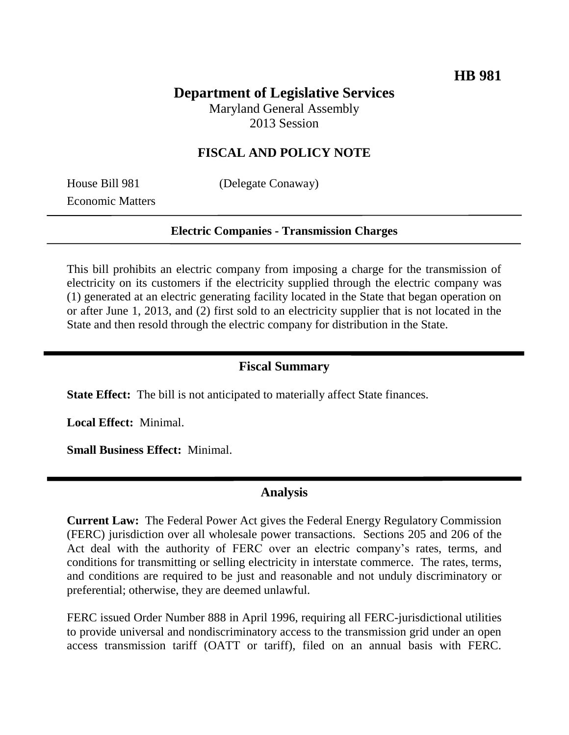# **Department of Legislative Services**

Maryland General Assembly 2013 Session

## **FISCAL AND POLICY NOTE**

Economic Matters

House Bill 981 (Delegate Conaway)

#### **Electric Companies - Transmission Charges**

This bill prohibits an electric company from imposing a charge for the transmission of electricity on its customers if the electricity supplied through the electric company was (1) generated at an electric generating facility located in the State that began operation on or after June 1, 2013, and (2) first sold to an electricity supplier that is not located in the State and then resold through the electric company for distribution in the State.

### **Fiscal Summary**

**State Effect:** The bill is not anticipated to materially affect State finances.

**Local Effect:** Minimal.

**Small Business Effect:** Minimal.

#### **Analysis**

**Current Law:** The Federal Power Act gives the Federal Energy Regulatory Commission (FERC) jurisdiction over all wholesale power transactions. Sections 205 and 206 of the Act deal with the authority of FERC over an electric company's rates, terms, and conditions for transmitting or selling electricity in interstate commerce. The rates, terms, and conditions are required to be just and reasonable and not unduly discriminatory or preferential; otherwise, they are deemed unlawful.

FERC issued Order Number 888 in April 1996, requiring all FERC-jurisdictional utilities to provide universal and nondiscriminatory access to the transmission grid under an open access transmission tariff (OATT or tariff), filed on an annual basis with FERC.